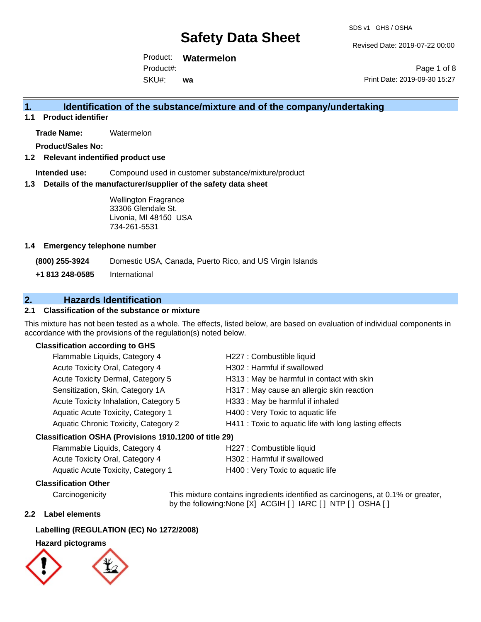Revised Date: 2019-07-22 00:00

Product: **Watermelon** Product#:

SKU#: **wa**

Page 1 of 8 Print Date: 2019-09-30 15:27

## **1. Identification of the substance/mixture and of the company/undertaking**

**1.1 Product identifier**

**Trade Name:** Watermelon

**Product/Sales No:**

#### **1.2 Relevant indentified product use**

**Intended use:** Compound used in customer substance/mixture/product

#### **1.3 Details of the manufacturer/supplier of the safety data sheet**

Wellington Fragrance 33306 Glendale St. Livonia, MI 48150 USA 734-261-5531

#### **1.4 Emergency telephone number**

**(800) 255-3924** Domestic USA, Canada, Puerto Rico, and US Virgin Islands

**+1 813 248-0585** International

### **2. Hazards Identification**

### **2.1 Classification of the substance or mixture**

This mixture has not been tested as a whole. The effects, listed below, are based on evaluation of individual components in accordance with the provisions of the regulation(s) noted below.

#### **Classification according to GHS**

| Flammable Liquids, Category 4         | H227 : Combustible liquid                              |
|---------------------------------------|--------------------------------------------------------|
| Acute Toxicity Oral, Category 4       | H302: Harmful if swallowed                             |
| Acute Toxicity Dermal, Category 5     | H313: May be harmful in contact with skin              |
| Sensitization, Skin, Category 1A      | H317 : May cause an allergic skin reaction             |
| Acute Toxicity Inhalation, Category 5 | H333: May be harmful if inhaled                        |
| Aquatic Acute Toxicity, Category 1    | H400 : Very Toxic to aquatic life                      |
| Aquatic Chronic Toxicity, Category 2  | H411 : Toxic to aquatic life with long lasting effects |
|                                       |                                                        |

#### **Classification OSHA (Provisions 1910.1200 of title 29)**

| Flammable Liquids, Category 4      | H227 : Combustible liquid         |
|------------------------------------|-----------------------------------|
| Acute Toxicity Oral, Category 4    | H302 : Harmful if swallowed       |
| Aquatic Acute Toxicity, Category 1 | H400 : Very Toxic to aquatic life |

#### **Classification Other**

Carcinogenicity This mixture contains ingredients identified as carcinogens, at 0.1% or greater, by the following:None [X] ACGIH [ ] IARC [ ] NTP [ ] OSHA [ ]

#### **2.2 Label elements**

#### **Labelling (REGULATION (EC) No 1272/2008)**

#### **Hazard pictograms**

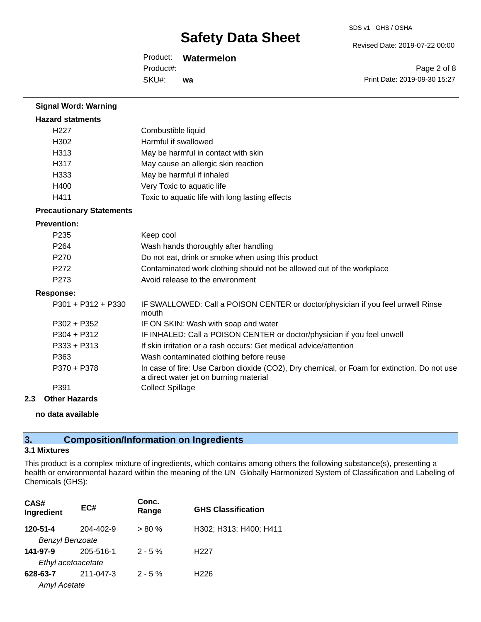Revised Date: 2019-07-22 00:00

Product: **Watermelon**

SKU#: Product#: **wa**

Page 2 of 8 Print Date: 2019-09-30 15:27

| <b>Signal Word: Warning</b>     |                                                                                                                                       |
|---------------------------------|---------------------------------------------------------------------------------------------------------------------------------------|
| <b>Hazard statments</b>         |                                                                                                                                       |
| H <sub>227</sub>                | Combustible liquid                                                                                                                    |
| H <sub>302</sub>                | Harmful if swallowed                                                                                                                  |
| H313                            | May be harmful in contact with skin                                                                                                   |
| H317                            | May cause an allergic skin reaction                                                                                                   |
| H333                            | May be harmful if inhaled                                                                                                             |
| H400                            | Very Toxic to aquatic life                                                                                                            |
| H411                            | Toxic to aquatic life with long lasting effects                                                                                       |
| <b>Precautionary Statements</b> |                                                                                                                                       |
| <b>Prevention:</b>              |                                                                                                                                       |
| P <sub>235</sub>                | Keep cool                                                                                                                             |
| P <sub>264</sub>                | Wash hands thoroughly after handling                                                                                                  |
| P270                            | Do not eat, drink or smoke when using this product                                                                                    |
| P <sub>272</sub>                | Contaminated work clothing should not be allowed out of the workplace                                                                 |
| P273                            | Avoid release to the environment                                                                                                      |
| <b>Response:</b>                |                                                                                                                                       |
| $P301 + P312 + P330$            | IF SWALLOWED: Call a POISON CENTER or doctor/physician if you feel unwell Rinse<br>mouth                                              |
| $P302 + P352$                   | IF ON SKIN: Wash with soap and water                                                                                                  |
| $P304 + P312$                   | IF INHALED: Call a POISON CENTER or doctor/physician if you feel unwell                                                               |
| $P333 + P313$                   | If skin irritation or a rash occurs: Get medical advice/attention                                                                     |
| P363                            | Wash contaminated clothing before reuse                                                                                               |
| P370 + P378                     | In case of fire: Use Carbon dioxide (CO2), Dry chemical, or Foam for extinction. Do not use<br>a direct water jet on burning material |
| P391                            | <b>Collect Spillage</b>                                                                                                               |
| $A + L = 11 = -22$              |                                                                                                                                       |

## **2.3 Other Hazards**

**no data available**

## **3. Composition/Information on Ingredients**

### **3.1 Mixtures**

This product is a complex mixture of ingredients, which contains among others the following substance(s), presenting a health or environmental hazard within the meaning of the UN Globally Harmonized System of Classification and Labeling of Chemicals (GHS):

| CAS#<br>Ingredient     | EC#       | Conc.<br>Range | <b>GHS Classification</b> |
|------------------------|-----------|----------------|---------------------------|
| 120-51-4               | 204-402-9 | $> 80 \%$      | H302; H313; H400; H411    |
| <b>Benzyl Benzoate</b> |           |                |                           |
| 141-97-9               | 205-516-1 | $2 - 5%$       | H <sub>22</sub> 7         |
| Ethyl acetoacetate     |           |                |                           |
| 628-63-7               | 211-047-3 | $2 - 5%$       | H <sub>226</sub>          |
| <b>Amyl Acetate</b>    |           |                |                           |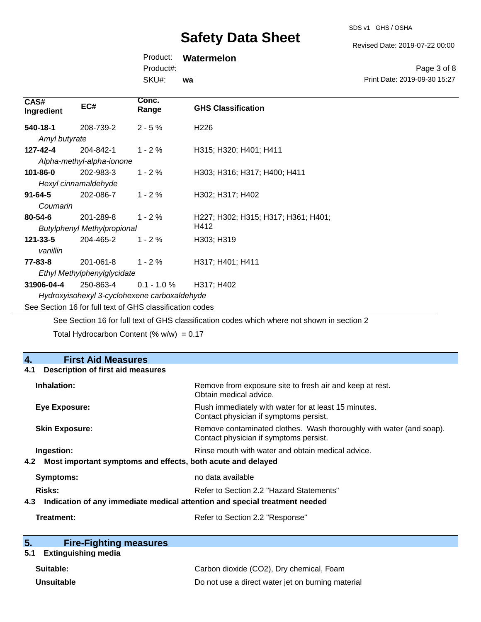SDS v1 GHS / OSHA

Revised Date: 2019-07-22 00:00

Print Date: 2019-09-30 15:27

Page 3 of 8

Product: **Watermelon**

Product#:

SKU#: **wa**

| CAS#<br>Ingredient                                       | EC#                                | Conc.<br>Range | <b>GHS Classification</b>           |  |
|----------------------------------------------------------|------------------------------------|----------------|-------------------------------------|--|
| 540-18-1                                                 | 208-739-2                          | $2 - 5%$       | H <sub>226</sub>                    |  |
| Amyl butyrate                                            |                                    |                |                                     |  |
| 127-42-4                                                 | 204-842-1                          | $1 - 2%$       | H315; H320; H401; H411              |  |
|                                                          | Alpha-methyl-alpha-ionone          |                |                                     |  |
| $101 - 86 - 0$                                           | 202-983-3                          | $1 - 2%$       | H303; H316; H317; H400; H411        |  |
|                                                          | Hexyl cinnamaldehyde               |                |                                     |  |
| $91 - 64 - 5$                                            | 202-086-7                          | $1 - 2%$       | H302; H317; H402                    |  |
| Coumarin                                                 |                                    |                |                                     |  |
| $80 - 54 - 6$                                            | 201-289-8                          | $1 - 2%$       | H227; H302; H315; H317; H361; H401; |  |
|                                                          | <b>Butylphenyl Methylpropional</b> |                | H412                                |  |
| $121 - 33 - 5$                                           | 204-465-2                          | $1 - 2%$       | H303; H319                          |  |
| vanillin                                                 |                                    |                |                                     |  |
| 77-83-8                                                  | 201-061-8                          | $1 - 2 \%$     | H317; H401; H411                    |  |
| Ethyl Methylphenylglycidate                              |                                    |                |                                     |  |
| 31906-04-4                                               | 250-863-4                          | $0.1 - 1.0 \%$ | H317; H402                          |  |
| Hydroxyisohexyl 3-cyclohexene carboxaldehyde             |                                    |                |                                     |  |
| See Section 16 for full text of GHS classification codes |                                    |                |                                     |  |

See Section 16 for full text of GHS classification codes which where not shown in section 2

Total Hydrocarbon Content (%  $w/w$ ) = 0.17

| 4.<br><b>First Aid Measures</b>                                                   |                                                                                                               |
|-----------------------------------------------------------------------------------|---------------------------------------------------------------------------------------------------------------|
| <b>Description of first aid measures</b><br>4.1                                   |                                                                                                               |
| Inhalation:                                                                       | Remove from exposure site to fresh air and keep at rest.<br>Obtain medical advice.                            |
| <b>Eye Exposure:</b>                                                              | Flush immediately with water for at least 15 minutes.<br>Contact physician if symptoms persist.               |
| <b>Skin Exposure:</b>                                                             | Remove contaminated clothes. Wash thoroughly with water (and soap).<br>Contact physician if symptoms persist. |
| Ingestion:                                                                        | Rinse mouth with water and obtain medical advice.                                                             |
| Most important symptoms and effects, both acute and delayed<br>4.2                |                                                                                                               |
| Symptoms:                                                                         | no data available                                                                                             |
| Risks:                                                                            | Refer to Section 2.2 "Hazard Statements"                                                                      |
| Indication of any immediate medical attention and special treatment needed<br>4.3 |                                                                                                               |
| Treatment:                                                                        | Refer to Section 2.2 "Response"                                                                               |

| 5. |  | <b>Fire-Fighting measures</b> |
|----|--|-------------------------------|
|    |  |                               |

## **5.1 Extinguishing media**

| Suitable:  | Carbon dioxide (CO2), Dry chemical, Foam          |
|------------|---------------------------------------------------|
| Unsuitable | Do not use a direct water jet on burning material |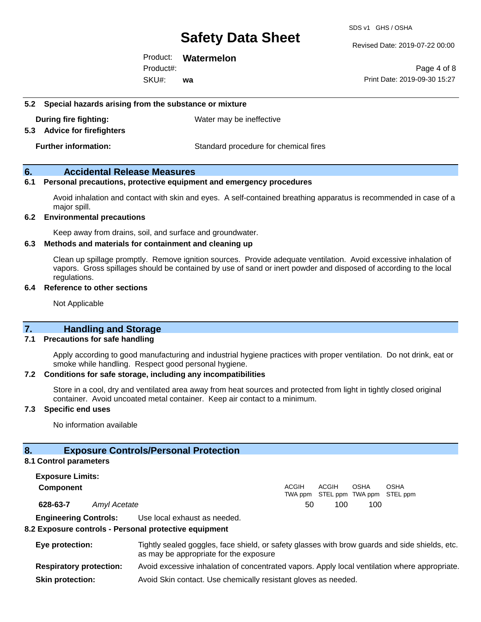Revised Date: 2019-07-22 00:00

Product: **Watermelon** SKU#: Product#: **wa**

Page 4 of 8 Print Date: 2019-09-30 15:27

#### **5.2 Special hazards arising from the substance or mixture**

**During fire fighting:** Water may be ineffective

#### **5.3 Advice for firefighters**

**Further information:** Standard procedure for chemical fires

#### **6. Accidental Release Measures**

#### **6.1 Personal precautions, protective equipment and emergency procedures**

Avoid inhalation and contact with skin and eyes. A self-contained breathing apparatus is recommended in case of a major spill.

#### **6.2 Environmental precautions**

Keep away from drains, soil, and surface and groundwater.

#### **6.3 Methods and materials for containment and cleaning up**

Clean up spillage promptly. Remove ignition sources. Provide adequate ventilation. Avoid excessive inhalation of vapors. Gross spillages should be contained by use of sand or inert powder and disposed of according to the local regulations.

#### **6.4 Reference to other sections**

Not Applicable

### **7. Handling and Storage**

#### **7.1 Precautions for safe handling**

Apply according to good manufacturing and industrial hygiene practices with proper ventilation. Do not drink, eat or smoke while handling. Respect good personal hygiene.

#### **7.2 Conditions for safe storage, including any incompatibilities**

Store in a cool, dry and ventilated area away from heat sources and protected from light in tightly closed original container. Avoid uncoated metal container. Keep air contact to a minimum.

#### **7.3 Specific end uses**

No information available

### **8. Exposure Controls/Personal Protection**

#### **8.1 Control parameters**

**Exposure Limits: Component** ACGIH TWA ppm STEL ppm TWA ppm STEL ppm ACGIH OSHA **OSHA 628-63-7** *Amyl Acetate* 50 100 100 **Engineering Controls:** Use local exhaust as needed.

#### **8.2 Exposure controls - Personal protective equipment**

**Eye protection:** Tightly sealed goggles, face shield, or safety glasses with brow guards and side shields, etc. as may be appropriate for the exposure **Respiratory protection:** Avoid excessive inhalation of concentrated vapors. Apply local ventilation where appropriate. **Skin protection:** Avoid Skin contact. Use chemically resistant gloves as needed.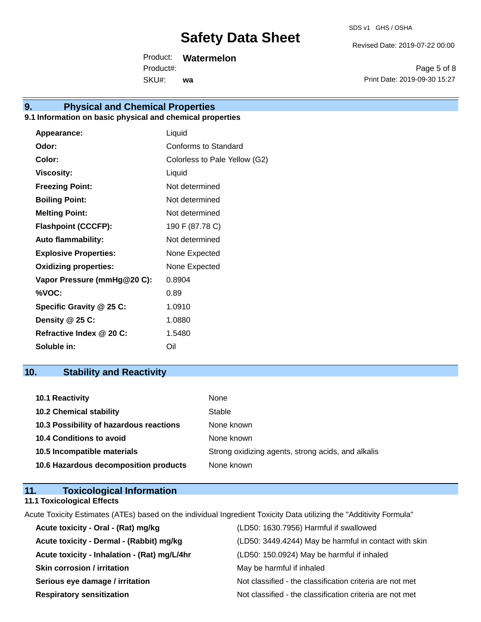Revised Date: 2019-07-22 00:00

Product: **Watermelon**

SKU#: Product#: **wa**

Page 5 of 8 Print Date: 2019-09-30 15:27

# **9. Physical and Chemical Properties**

### **9.1 Information on basic physical and chemical properties**

| Appearance:                  | Liquid                        |
|------------------------------|-------------------------------|
| Odor:                        | Conforms to Standard          |
| Color:                       | Colorless to Pale Yellow (G2) |
| <b>Viscosity:</b>            | Liquid                        |
| <b>Freezing Point:</b>       | Not determined                |
| <b>Boiling Point:</b>        | Not determined                |
| <b>Melting Point:</b>        | Not determined                |
| <b>Flashpoint (CCCFP):</b>   | 190 F (87.78 C)               |
| <b>Auto flammability:</b>    | Not determined                |
| <b>Explosive Properties:</b> | None Expected                 |
| <b>Oxidizing properties:</b> | None Expected                 |
| Vapor Pressure (mmHg@20 C):  | 0.8904                        |
| %VOC:                        | 0.89                          |
| Specific Gravity @ 25 C:     | 1.0910                        |
| Density @ 25 C:              | 1.0880                        |
| Refractive Index @ 20 C:     | 1.5480                        |
| Soluble in:                  | Oil                           |

## **10. Stability and Reactivity**

| 10.1 Reactivity                         | None                                               |
|-----------------------------------------|----------------------------------------------------|
| <b>10.2 Chemical stability</b>          | Stable                                             |
| 10.3 Possibility of hazardous reactions | None known                                         |
| 10.4 Conditions to avoid                | None known                                         |
| 10.5 Incompatible materials             | Strong oxidizing agents, strong acids, and alkalis |
| 10.6 Hazardous decomposition products   | None known                                         |

| 11. | <b>Toxicological Information</b>  |  |
|-----|-----------------------------------|--|
|     | <b>11.1 Toxicological Effects</b> |  |

Acute Toxicity Estimates (ATEs) based on the individual Ingredient Toxicity Data utilizing the "Additivity Formula"

| Acute toxicity - Oral - (Rat) mg/kg          | (LD50: 1630.7956) Harmful if swallowed                   |
|----------------------------------------------|----------------------------------------------------------|
| Acute toxicity - Dermal - (Rabbit) mg/kg     | (LD50: 3449.4244) May be harmful in contact with skin    |
| Acute toxicity - Inhalation - (Rat) mg/L/4hr | (LD50: 150.0924) May be harmful if inhaled               |
| <b>Skin corrosion / irritation</b>           | May be harmful if inhaled                                |
| Serious eye damage / irritation              | Not classified - the classification criteria are not met |
| <b>Respiratory sensitization</b>             | Not classified - the classification criteria are not met |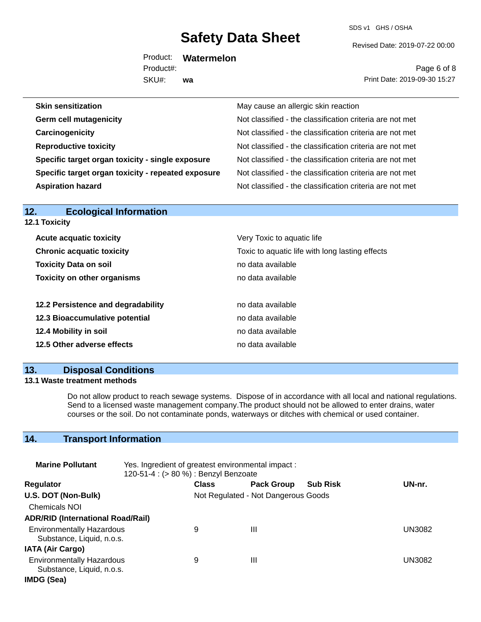SDS v1 GHS / OSHA

Revised Date: 2019-07-22 00:00

Product: **Watermelon** SKU#: Product#: **wa**

Page 6 of 8 Print Date: 2019-09-30 15:27

| <b>Skin sensitization</b>                          | May cause an allergic skin reaction                      |
|----------------------------------------------------|----------------------------------------------------------|
| <b>Germ cell mutagenicity</b>                      | Not classified - the classification criteria are not met |
| Carcinogenicity                                    | Not classified - the classification criteria are not met |
| <b>Reproductive toxicity</b>                       | Not classified - the classification criteria are not met |
| Specific target organ toxicity - single exposure   | Not classified - the classification criteria are not met |
| Specific target organ toxicity - repeated exposure | Not classified - the classification criteria are not met |
| <b>Aspiration hazard</b>                           | Not classified - the classification criteria are not met |

| <b>Ecological Information</b><br>12. |                                                                                                    |  |  |  |  |
|--------------------------------------|----------------------------------------------------------------------------------------------------|--|--|--|--|
| <b>12.1 Toxicity</b>                 |                                                                                                    |  |  |  |  |
| <b>Acute acquatic toxicity</b>       | Very Toxic to aquatic life<br>Toxic to aquatic life with long lasting effects<br>no data available |  |  |  |  |
| <b>Chronic acquatic toxicity</b>     |                                                                                                    |  |  |  |  |
| <b>Toxicity Data on soil</b>         |                                                                                                    |  |  |  |  |
| <b>Toxicity on other organisms</b>   | no data available                                                                                  |  |  |  |  |
| 12.2 Persistence and degradability   | no data available                                                                                  |  |  |  |  |
| 12.3 Bioaccumulative potential       | no data available                                                                                  |  |  |  |  |
| 12.4 Mobility in soil                | no data available                                                                                  |  |  |  |  |
| 12.5 Other adverse effects           | no data available                                                                                  |  |  |  |  |
|                                      |                                                                                                    |  |  |  |  |

### **13. Disposal Conditions**

### **13.1 Waste treatment methods**

Do not allow product to reach sewage systems. Dispose of in accordance with all local and national regulations. Send to a licensed waste management company.The product should not be allowed to enter drains, water courses or the soil. Do not contaminate ponds, waterways or ditches with chemical or used container.

## **14. Transport Information**

| <b>Marine Pollutant</b>                                       | Yes. Ingredient of greatest environmental impact:<br>120-51-4 : (> 80 %) : Benzyl Benzoate |              |                                     |                 |        |
|---------------------------------------------------------------|--------------------------------------------------------------------------------------------|--------------|-------------------------------------|-----------------|--------|
| <b>Regulator</b>                                              |                                                                                            | <b>Class</b> | <b>Pack Group</b>                   | <b>Sub Risk</b> | UN-nr. |
| U.S. DOT (Non-Bulk)                                           |                                                                                            |              | Not Regulated - Not Dangerous Goods |                 |        |
| <b>Chemicals NOI</b>                                          |                                                                                            |              |                                     |                 |        |
| <b>ADR/RID (International Road/Rail)</b>                      |                                                                                            |              |                                     |                 |        |
| <b>Environmentally Hazardous</b><br>Substance, Liquid, n.o.s. |                                                                                            | 9            | Ш                                   |                 | UN3082 |
| <b>IATA (Air Cargo)</b>                                       |                                                                                            |              |                                     |                 |        |
| <b>Environmentally Hazardous</b><br>Substance, Liquid, n.o.s. |                                                                                            | 9            | Ш                                   |                 | UN3082 |
| IMDG (Sea)                                                    |                                                                                            |              |                                     |                 |        |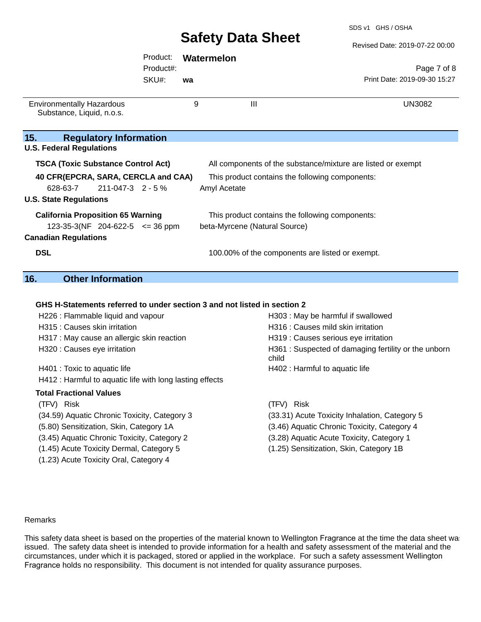#### Revised Date: 2019-07-22 00:00

|                                                                          | Product:                      |    | Watermelon                                                   |                                                      |
|--------------------------------------------------------------------------|-------------------------------|----|--------------------------------------------------------------|------------------------------------------------------|
|                                                                          | Product#:                     |    |                                                              | Page 7 of 8                                          |
|                                                                          | SKU#:                         | wa |                                                              | Print Date: 2019-09-30 15:27                         |
| <b>Environmentally Hazardous</b>                                         |                               | 9  | $\mathbf{III}$                                               | <b>UN3082</b>                                        |
| Substance, Liquid, n.o.s.                                                |                               |    |                                                              |                                                      |
| 15.<br><b>Regulatory Information</b>                                     |                               |    |                                                              |                                                      |
| <b>U.S. Federal Regulations</b>                                          |                               |    |                                                              |                                                      |
| <b>TSCA (Toxic Substance Control Act)</b>                                |                               |    | All components of the substance/mixture are listed or exempt |                                                      |
| 40 CFR(EPCRA, SARA, CERCLA and CAA)                                      |                               |    | This product contains the following components:              |                                                      |
| 628-63-7<br>211-047-3 2 - 5 %                                            |                               |    | Amyl Acetate                                                 |                                                      |
| <b>U.S. State Regulations</b>                                            |                               |    |                                                              |                                                      |
| <b>California Proposition 65 Warning</b>                                 |                               |    | This product contains the following components:              |                                                      |
| 123-35-3(NF 204-622-5 $\leq$ 36 ppm                                      | beta-Myrcene (Natural Source) |    |                                                              |                                                      |
| <b>Canadian Regulations</b>                                              |                               |    |                                                              |                                                      |
| <b>DSL</b>                                                               |                               |    | 100.00% of the components are listed or exempt.              |                                                      |
| 16.<br><b>Other Information</b>                                          |                               |    |                                                              |                                                      |
|                                                                          |                               |    |                                                              |                                                      |
| GHS H-Statements referred to under section 3 and not listed in section 2 |                               |    |                                                              |                                                      |
| H226 : Flammable liquid and vapour                                       |                               |    |                                                              | H303 : May be harmful if swallowed                   |
| H315 : Causes skin irritation                                            |                               |    | H316 : Causes mild skin irritation                           |                                                      |
| H317 : May cause an allergic skin reaction                               |                               |    |                                                              | H319 : Causes serious eye irritation                 |
| H320 : Causes eye irritation                                             |                               |    | child                                                        | H361 : Suspected of damaging fertility or the unborn |
| H401 : Toxic to aquatic life                                             |                               |    | H402 : Harmful to aquatic life                               |                                                      |
| H412 : Harmful to aquatic life with long lasting effects                 |                               |    |                                                              |                                                      |
| <b>Total Fractional Values</b>                                           |                               |    |                                                              |                                                      |
| (TFV) Risk                                                               |                               |    | (TFV)<br>Risk                                                |                                                      |

- 
- 
- (1.45) Acute Toxicity Dermal, Category 5 (1.25) Sensitization, Skin, Category 1B
- (1.23) Acute Toxicity Oral, Category 4
- (34.59) Aquatic Chronic Toxicity, Category 3 (33.31) Acute Toxicity Inhalation, Category 5 (5.80) Sensitization, Skin, Category 1A (3.46) Aquatic Chronic Toxicity, Category 4 (3.45) Aquatic Chronic Toxicity, Category 2 (3.28) Aquatic Acute Toxicity, Category 1

Remarks

This safety data sheet is based on the properties of the material known to Wellington Fragrance at the time the data sheet was issued. The safety data sheet is intended to provide information for a health and safety assessment of the material and the circumstances, under which it is packaged, stored or applied in the workplace. For such a safety assessment Wellington Fragrance holds no responsibility. This document is not intended for quality assurance purposes.